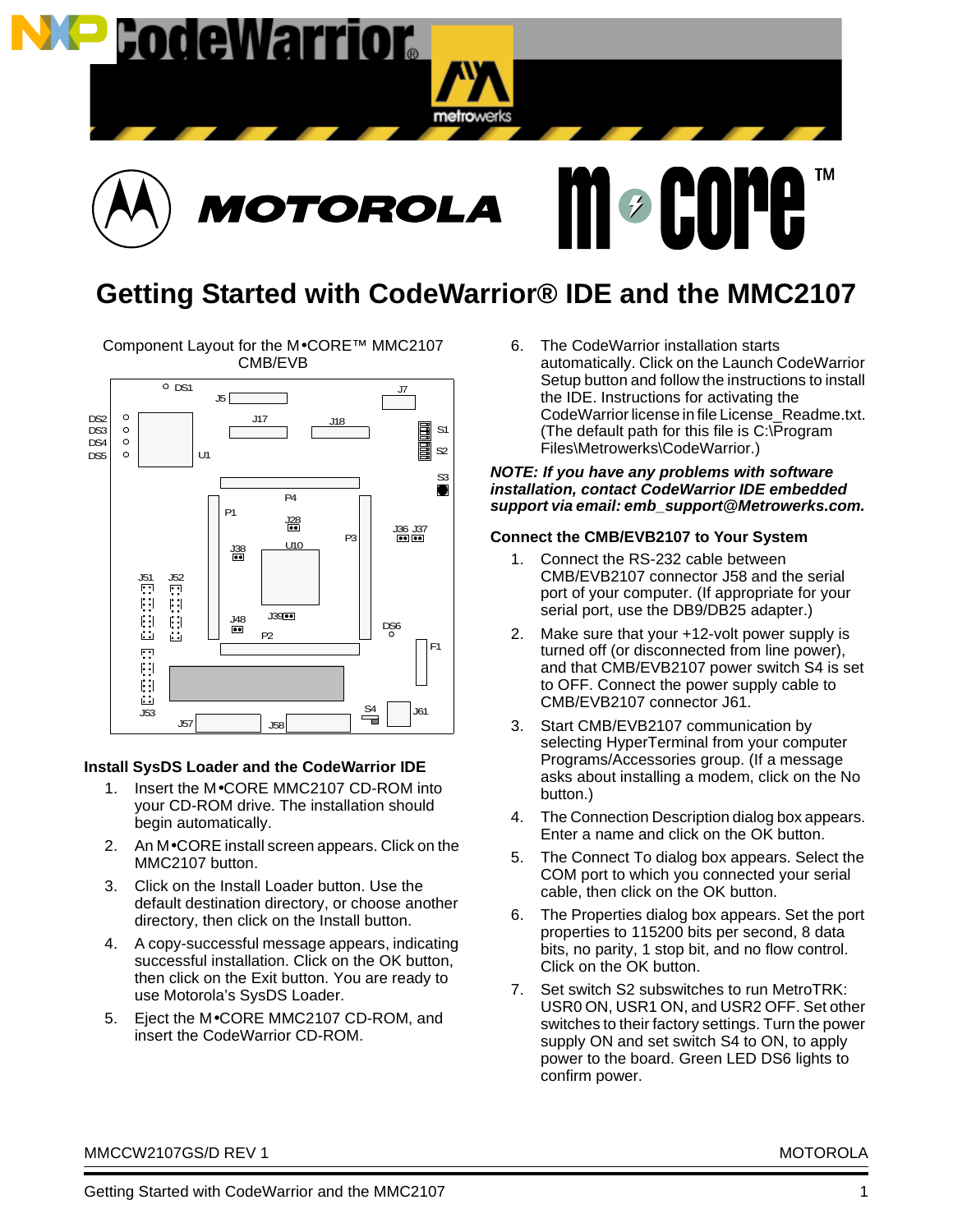





# **Getting Started with CodeWarrior® IDE and the MMC2107**

Component Layout for the M•CORE™ MMC2107 CMB/EVB



# **Install SysDS Loader and the CodeWarrior IDE**

- 1. Insert the M•CORE MMC2107 CD-ROM into your CD-ROM drive. The installation should begin automatically.
- 2. An M•CORE install screen appears. Click on the MMC2107 button.
- 3. Click on the Install Loader button. Use the default destination directory, or choose another directory, then click on the Install button.
- 4. A copy-successful message appears, indicating successful installation. Click on the OK button, then click on the Exit button. You are ready to use Motorola's SysDS Loader.
- 5. Eject the M•CORE MMC2107 CD-ROM, and insert the CodeWarrior CD-ROM.

6. The CodeWarrior installation starts automatically. Click on the Launch CodeWarrior Setup button and follow the instructions to install the IDE. Instructions for activating the CodeWarrior license in file License\_Readme.txt. (The default path for this file is C:\Program Files\Metrowerks\CodeWarrior.)

#### **NOTE: If you have any problems with software installation, contact CodeWarrior IDE embedded support via email: emb\_support@Metrowerks.com.**

## **Connect the CMB/EVB2107 to Your System**

- 1. Connect the RS-232 cable between CMB/EVB2107 connector J58 and the serial port of your computer. (If appropriate for your serial port, use the DB9/DB25 adapter.)
- 2. Make sure that your +12-volt power supply is turned off (or disconnected from line power), and that CMB/EVB2107 power switch S4 is set to OFF. Connect the power supply cable to CMB/EVB2107 connector J61.
- 3. Start CMB/EVB2107 communication by selecting HyperTerminal from your computer Programs/Accessories group. (If a message asks about installing a modem, click on the No button.)
- 4. The Connection Description dialog box appears. Enter a name and click on the OK button.
- 5. The Connect To dialog box appears. Select the COM port to which you connected your serial cable, then click on the OK button.
- 6. The Properties dialog box appears. Set the port properties to 115200 bits per second, 8 data bits, no parity, 1 stop bit, and no flow control. Click on the OK button.
- 7. Set switch S2 subswitches to run MetroTRK: USR0 ON, USR1 ON, and USR2 OFF. Set other switches to their factory settings. Turn the power supply ON and set switch S4 to ON, to apply power to the board. Green LED DS6 lights to confirm power.

MMCCW2107GS/D REV 1 MOTOROLA